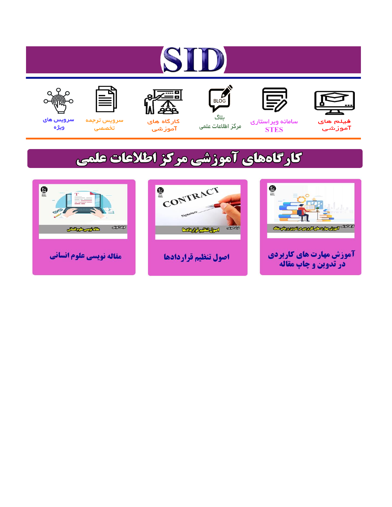# ST











مرکز اطلاعات علمی

 $\frac{1}{\sqrt{\frac{1}{100}}}$ ىلاگ



آموزشي

空

سرويس ترجمه تخصصى



سرویس های ويژه

## كارگاههای آموزشی مركز اطلاعات علمی





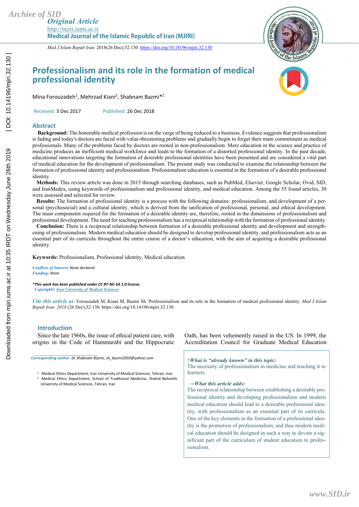*Med J Islam Repub Iran.* 2018(26 Dec);32.130. https://doi.org/10.14196/mjiri.32.130



### **Professionalism and its role in the formation of medical professional identity**



Mina Forouzadeh<sup>1</sup>, Mehrzad Kiani<sup>2</sup>, Shabnam Bazmi<sup>\*2</sup>

Received: 3 Dec 2017 Published: 26 Dec 2018

#### **Abstract**

 **Background:** The honorable medical profession is on the verge of being reduced to a business. Evidence suggests that professionalism is fading and today's doctors are faced with value-threatening problems and gradually begin to forget their main commitment as medical professionals. Many of the problems faced by doctors are rooted in non-professionalism. Mere education in the science and practice of medicine produces an inefficient medical workforce and leads to the formation of a distorted professional identity. In the past decade, educational innovations targeting the formation of desirable professional identities have been presented and are considered a vital part of medical education for the development of professionalism. The present study was conducted to examine the relationship between the formation of professional identity and professionalism. Professionalism education is essential in the formation of a desirable professional identity.

 **Methods:** This review article was done in 2015 through searching databases, such as PubMed, Elsevier, Google Scholar, Ovid, SID, and IranMedex, using keywords of professionalism and professional identity, and medical education. Among the 55 found articles, 30 were assessed and selected for review.

 **Results:** The formation of professional identity is a process with the following domains: professionalism, and development of a personal (psychosocial) and a cultural identity, which is derived from the unification of professional, personal, and ethical development. The main components required for the formation of a desirable identity are, therefore, rooted in the dimensions of professionalism and professional development. The need for teaching professionalism has a reciprocal relationship with the formation of professional identity.

 **Conclusion:** There is a reciprocal relationship between formation of a desirable professional identity and development and strengthening of professionalism. Modern medical education should be designed to develop professional identity, and professionalism acts as an essential part of its curricula throughout the entire course of a doctor's education, with the aim of acquiring a desirable professional identity.

**Keywords:** Professionalism, Professional identity, Medical education

*Conflicts of Interest: None declared Funding: None* 

*\*This work has been published under CC BY-NC-SA 1.0 license. Copyright© Iran University of Medical Sciences* 

*Cite this article as*: Forouzadeh M, Kiani M, Bazmi Sh. Professionalism and its role in the formation of medical professional identity. *Med J Islam Repub Iran. 2018* (26 Dec);32:130. https://doi.org/10.14196/mjiri.32.130

#### **Introduction**

*\_\_\_\_\_\_\_\_\_\_\_\_\_\_\_\_\_\_\_\_\_\_\_\_\_\_\_\_\_\_* 

Since the late 1960s, the issue of ethical patient care, with origins in the Code of Hammurabi and the Hippocratic

*Corresponding author: Dr Shabnam Bazmi, sh\_bazmi2003@yahoo.com*

<sup>1.</sup> Medical Ethics Department, Iran University of Medical Sciences, Tehran, Iran

<sup>2.</sup> Medical Ethics Department, School of Traditional Medicine, Shahid Beheshti University of Medical Sciences, Tehran, Iran

Oath, has been vehemently raised in the US. In 1999, the Accreditation Council for Graduate Medical Education

*↑What is "already known" in this topic:* 

The necessity of professionalism in medicine and teaching it to **learners** 

*→What this article adds:*

The reciprocal relationship between establishing a desirable professional identity and developing professionalism and modern medical education should lead to a desirable professional identity, with professionalism as an essential part of its curricula. One of the key elements in the formation of a professional identity is the promotion of professionalism, and thus modern medical education should be designed in such a way to devote a significant part of the curriculum of student education to professionalism.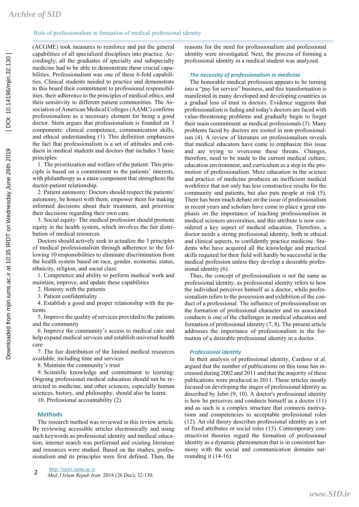#### Role of professionalism in formation of medical professional identity

(ACGME) took measures to reinforce and put the general capabilities of all specialized disciplines into practice. Accordingly, all the graduates of specialty and subspecialty medicine had to be able to demonstrate these crucial capabilities. Professionalism was one of these 6-fold capabilities. Clinical students needed to practice and demonstrate to this board their commitment to professional responsibilities, their adherence to the principles of medical ethics, and their sensitivity to different patient communities. The Association of American Medical Colleges (AAMC) confirms professionalism as a necessary element for being a good doctor. Stern argues that professionalism is founded on 3 components: clinical competence, communication skills, and ethical understanding (1). This definition emphasizes the fact that professionalism is a set of attitudes and conducts in medical students and doctors that includes 3 basic principles:

1. The prioritization and welfare of the patient: This principle is based on a commitment to the patients' interests, with philanthropy as a main component that strengthens the doctor-patient relationship.

2. Patient autonomy: Doctors should respect the patients' autonomy, be honest with them, empower them for making informed decisions about their treatment, and prioritize their decisions regarding their own care.

3. Social equity: The medical profession should promote equity in the health system, which involves the fair distribution of medical resources.

Doctors should actively seek to actualize the 3 principles of medical professionalism through adherence to the following 10 responsibilities to eliminate discrimination from the health system based on race, gender, economic status, ethnicity, religion, and social class:

1. Competence and ability to perform medical work and maintain, improve, and update these capabilities

2. Honesty with the patients

3. Patient confidentiality

4. Establish a good and proper relationship with the patients

5. Improve the quality of services provided to the patients and the community

6. Improve the community's access to medical care and help expand medical services and establish universal health care

7. The fair distribution of the limited medical resources available, including time and services

8. Maintain the community's trust

9. Scientific knowledge and commitment to learning: Ongoing professional medical education should not be restricted to medicine, and other sciences, especially human sciences, history, and philosophy, should also be learnt.

10. Professional accountability (2).

#### **Methods**

The research method was reviewed in this review article. By reviewing accessible articles electronically and using such keywords as professional identity and medical education, internet search was performed and existing literature and resources were studied. Based on the studies, professionalism and its principles were first defined. Then, the

reasons for the need for professionalism and professional identity were investigated. Next, the process of forming a professional identity in a medical student was analyzed.

#### *The necessity of professionalism in medicine*

The honorable medical profession appears to be turning into a "pay for service" business, and this transformation is manifested in many developed and developing countries as a gradual loss of trust in doctors. Evidence suggests that professionalism is fading and today's doctors are faced with value-threatening problems and gradually begin to forget their main commitment as medical professionals (3). Many problems faced by doctors are rooted in non-professionalism (4). A review of literature on professionalism reveals that medical educators have come to emphasize this issue and are trying to overcome these threats. Changes, therefore, need to be made to the current medical culture, education environment, and curriculum as a step in the promotion of professionalism. Mere education in the science and practice of medicine produces an inefficient medical workforce that not only has less constructive results for the community and patients, but also puts people at risk (5). There has been much debate on the issue of professionalism in recent years and scholars have come to place a great emphasis on the importance of teaching professionalism in medical sciences universities, and this attribute is now considered a key aspect of medical education. Therefore, a doctor needs a strong professional identity, both in ethical and clinical aspects, to confidently practice medicine. Students who have acquired all the knowledge and practical skills required for their field will hardly be successful in the medical profession unless they develop a desirable professional identity (6).

Thus, the concept of professionalism is not the same as professional identity, as professional identity refers to how the individual perceives himself as a doctor, while professionalism refers to the possession and exhibition of the conduct of a professional. The influence of professionalism on the formation of professional character and its associated conducts is one of the challenges in medical education and formation of professional identity (7, 8). The present article addresses the importance of professionalism in the formation of a desirable professional identity in a doctor.

#### *Professional identity*

In their analysis of professional identity, Cardoso et al. argued that the number of publications on this issue has increased during 2002 and 2011 and that the majority of these publications were produced in 2011. These articles mostly focused on developing the stages of professional identity as described by Jebri (9, 10). A doctor's professional identity is how he perceives and conducts himself as a doctor (11) and as such is a complex structure that connects motivations and competencies to acceptable professional roles (12). An old theory describes professional identity as a set of fixed attributes or social roles (13). Contemporary constructivist theories regard the formation of professional identity as a dynamic phenomenon that is in consistent harmony with the social and communication domains surrounding it (14-16).

http://mjiri.iums.ac.ir **2** *Med J Islam Repub Iran.* 2018 (26 Dec); 32:130.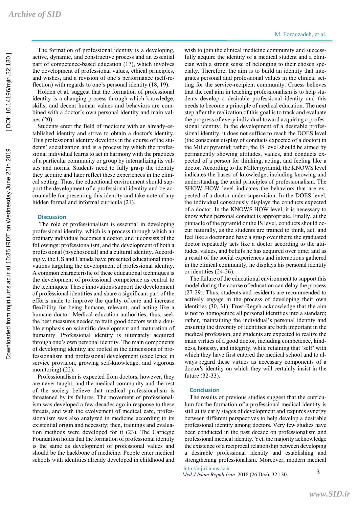The formation of professional identity is a developing, active, dynamic, and constructive process and an essential part of competence-based education (17), which involves the development of professional values, ethical principles, and wishes, and a revision of one's performance (self-reflection) with regards to one's personal identity (18, 19).

Holden et al. suggest that the formation of professional identity is a changing process through which knowledge, skills, and decent human values and behaviors are combined with a doctor's own personal identity and main values (20).

Students enter the field of medicine with an already-established identity and strive to obtain a doctor's identity. This professional identity develops in the course of the students' socialization and is a process by which the professional individual learns to act in harmony with the practices of a particular community or group by internalizing its values and norms. Students need to fully grasp the identity they acquire and later reflect these experiences in the clinical setting. Thus, the educational environment should support the development of a professional identity and be accountable for presenting this identity and take note of any hidden formal and informal curricula (21).

#### **Discussion**

 The role of professionalism is essential in developing professional identity, which is a process through which an ordinary individual becomes a doctor, and it consists of the followings: professionalism, and the development of both a professional (psychosocial) and a cultural identity. Accordingly, the US and Canada have presented educational innovations targeting the development of professional identity. A common characteristic of these educational techniques is the development of professional competence as central to the techniques. These innovations support the development of professional identities and share a significant part of the efforts made to improve the quality of care and increase flexibility for being humane, relevant, and acting like a humane doctor. Medical education authorities, thus, seek the best measures needed to train good doctors with a double emphasis on scientific development and maturation of humanity. Professional identity is ultimately acquired through one's own personal identity. The main components of developing identity are rooted in the dimensions of professionalism and professional development (excellence in service provision, growing self-knowledge, and vigorous monitoring) (22).

Professionalism is expected from doctors, however, they are never taught, and the medical community and the rest of the society believe that medical professionalism is threatened by its failures. The movement of professionalism was developed a few decades ago in response to these threats, and with the evolvement of medical care, professionalism was also analyzed in medicine according to its existential origin and necessity; then, trainings and evaluation methods were developed for it (23). The Carnegie Foundation holds that the formation of professional identity is the same as development of professional values and should be the backbone of medicine. People enter medical schools with identities already developed in childhood and

wish to join the clinical medicine community and successfully acquire the identity of a medical student and a clinician with a strong sense of belonging to their chosen specialty. Therefore, the aim is to build an identity that integrates personal and professional values in the clinical setting for the service-recipient community. Cruess believes that the real aim in teaching professionalism is to help students develop a desirable professional identity and this needs to become a principle of medical education. The next step after the realization of this goal is to track and evaluate the progress of every individual toward acquiring a professional identity. In the development of a desirable professional identity, it does not suffice to reach the DOES level (the conscious display of conducts expected of a doctor) in the Miller pyramid; rather, the IS level should be aimed by permanently showing attitudes, values, and conducts expected of a person for thinking, acting, and feeling like a doctor. According to the Miller pyramid, the KNOWS level indicates the bases of knowledge, including knowing and understanding the axial principles of professionalism. The SHOW HOW level indicates the behaviors that are expected of a doctor under supervision. In the DOES level, the individual consciously displays the conducts expected of a doctor. In the KNOWS HOW level, it is necessary to know when personal conduct is appropriate. Finally, at the pinnacle of the pyramid or the IS level, conducts should occur naturally, as the students are trained to think, act, and feel like a doctor and have a grasp over them; the graduated doctor repeatedly acts like a doctor according to the attitudes, values, and beliefs he has acquired over time; and as a result of the social experiences and interactions gathered in the clinical community, he displays his personal identity or identities (24-26).

The failure of the educational environment to support this model during the course of education can delay the process (27-29). Thus, students and residents are recommended to actively engage in the process of developing their own identities (30, 31). Frost-Regeh acknowledge that the aim is not to homogenize all personal identities into a standard; rather, maintaining the individual's personal identity and ensuring the diversity of identities are both important in the medical profession, and students are expected to realize the main virtues of a good doctor, including competence, kindness, honesty, and integrity, while retaining that 'self' with which they have first entered the medical school and to always regard these virtues as necessary components of a doctor's identity on which they will certainly insist in the future (32-33).

#### **Conclusion**

The results of previous studies suggest that the curriculum for the formation of a professional medical identity is still at its early stages of development and requires synergy between different perspectives to help develop a desirable professional identity among doctors. Very few studies have been conducted in the past decade on professionalism and professional medical identity. Yet, the majority acknowledge the existence of a reciprocal relationship between developing a desirable professional identity and establishing and strengthening professionalism. Moreover, modern medical

#### http://mjiri.iums.ac.ir

*Med J Islam Repub Iran.* 2018 (26 Dec); 32.130.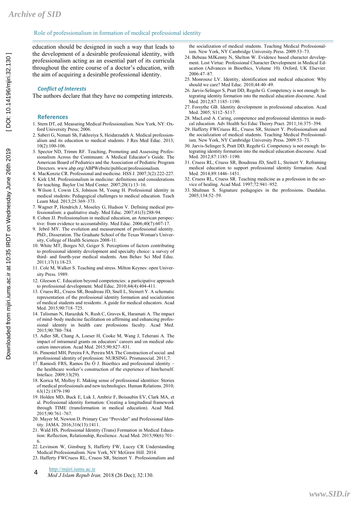#### Role of professionalism in formation of medical professional identity

education should be designed in such a way that leads to the development of a desirable professional identity, with professionalism acting as an essential part of its curricula throughout the entire course of a doctor's education, with the aim of acquiring a desirable professional identity.

#### *Conflict of Interests*

The authors declare that they have no competing interests.

#### **References**

- 1. Stern DT, ed. Measuring Medical Professionalism. New York, NY: Oxford University Press; 2006.
- 2. Saberi G, Nemati Sh, Fakhreiya S, Heidarzadeh A. Medical professionalism and its education to medical students. J Res Med Educ. 2013; 10(2):100-106.
- 3. Spector ND, Trimm RF. Teaching, Promoting and Assessing Professionalism Across the Continuum: A Medical Educator's Guide. The American Board of Pediatrics and the Association of Pediatric Program Directors. www.abp.org/ABPWebsite/publicat/professionalism.
- 4. MacKenzie CR. Professional and medicine. HSS J. 2007;3(2):222-227.
- 5. Kirk LM. Professionalism in medicine: definitions and considerations for teaching. Baylor Uni Med Center. 2007;20(1):13–16.
- 6. Wilson I, Cowin LS, Johnson M, Young H. Professional identity in medical students: Pedagogical challenges to medical education. Teach Learn Med. 2013;25:369–373.
- 7. Wagner P, Hendrich J, Moseley G, Hudson V. Defining medical professionalism: a qualitative study. Med Educ. 2007;41(3):288-94.
- 8. Cohen JJ. Professionalism in medical education, an American perspective: from evidence to accountability. Med Educ. 2006;40(7):607-17.
- 9. Jebril MY. The evolution and measurement of professional identity. PhD., Disseration. The Graduate School of the Texas Woman's University, College of Health Sciences 2008-11.
- 10. White MT, Borges NJ, Geiger S. Perceptions of factors contributing to professional identity development and specialty choice: a survey of third- and fourth-year medical students. Ann Behav Sci Med Educ.  $2011:17(1):18-23$
- 11. Cole M, Walker S. Teaching and stress. Milton Keynes: open University Press. 1989.
- 12. Gleeson C. Education beyond competencies: a participative approach to professional development. Med Educ.  $2010:44(4):404-411$ .
- 13. Cruess RL, Cruess SR, Boudreau JD, Snell L, Steinert Y. A schematic representation of the professional identity formation and socialization of medical students and residents: A guide for medical educators. Acad Med. 2015;90:718–725.
- 14. Talisman N, Harazduk N, Rush C, Graves K, Haramati A. The impact of mind–body medicine facilitation on affirming and enhancing professional identity in health care professions faculty. Acad Med. 2015;90:780–784.
- 15. Adler SR, Chang A, Loeser H, Cooke M, Wang J, Teherani A. The impact of intramural grants on educators' careers and on medical education innovation. Acad Med. 2015;90:827–831.
- 16. Pimentel MH, Pereira FA, Pereira MA The Constraction of social and professional identity of profession: NURSING. Prismasocial. 2011;7.
- 17. RamosIi FRS, Ramos Do Ó J. Bioethics and professional identity the healthcare worker's construction of the experience of him/herself. Inteface. 2009;13(29).
- 18. Korica M, Molloy E. Making sense of professional identities: Stories of medical professionals and new technologies. Human Relations. 2010; 63(12):1879-190
- 19. Holden MD, Buck E, Luk J, Ambriz F, Boisaubin EV, Clark MA, et al. Professional identity formation: Creating a longitudinal framework through TIME (transformation in medical education). Acad Med. 2015;90:761–767.
- 20. Mayer M, Newton D. Primary Care "Provider" and Professional Identity. JAMA. 2016;316(13):1411.
- 21. Wald HS. Professional Identity (Trans) Formation in Medical Education: Reflection, Relationship, Resilience. Acad Med. 2015;90(6):701– 6.
- 22. Levinson W, Ginsburg S, Hafferty FW, Lucey CR Understanding Medical Professionalism. New York, NY McGraw Hill. 2014.
- 23. Hafferty FWCruess RL, Cruess SR, Steinert Y. Professionalism and
- http://mjiri.iums.ac.ir
- *Med J Islam Repub Iran.* 2018 (26 Dec); 32:130. 4

the socialization of medical students. Teaching Medical Professionalism. New York, NY Cambridge University Press. 2009:53–73.

- 24. Bebeau MJKenny N, Shelton W. Evidence based character development. Lost Virtue: Professional Character Development in Medical Education (Advances in Bioethics, Volume 10). Oxford, UK Elsevier. 2006:47–87.
- 25. Monrouxe LV. Identity, identification and medical education: Why should we care? Med Educ. 2010;44:40–49.
- 26. Jarvis-Selinger S, Pratt DD, Regehr G. Competency is not enough: Integrating identity formation into the medical education discourse. Acad Med. 2012;87:1185–1190.
- 27. Forsythe GB. Identity development in professional education. Acad Med. 2005; S112–S117.
- 28. MacLeod A. Caring, competence and professional identities in medical education. Adv Health Sci Educ Theory Pract. 2011;16:375–394.
- 29. Hafferty FWCruess RL, Cruess SR, Steinert Y. Professionalism and the socialization of medical students. Teaching Medical Professionalism. New York, NY Cambridge University Press. 2009:53–73.
- 30. Jarvis-Selinger S, Pratt DD, Regehr G. Competency is not enough: Integrating identity formation into the medical education discourse. Acad Med. 2012;87:1185–1190.
- 31. Cruess RL, Cruess SR, Boudreau JD, Snell L, Steinert Y. Reframing medical education to support professional identity formation. Acad Med. 2014;89:1446–1451.
- 32. Cruess RL, Cruess SR. Teaching medicine as a profession in the service of healing. Acad Med. 1997;72:941–952.
- 33. Shulman S. Signature pedagogies in the professions. Daedalus. 2005;134:52–59.